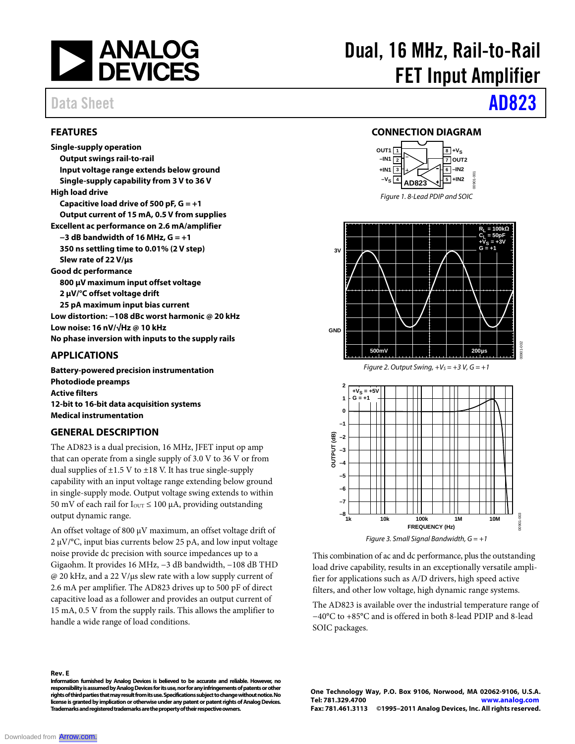

### **FEATURES**

**Single-supply operation Output swings rail-to-rail Input voltage range extends below ground Single-supply capability from 3 V to 36 V High load drive Capacitive load drive of 500 pF, G = +1 Output current of 15 mA, 0.5 V from supplies Excellent ac performance on 2.6 mA/amplifier −3 dB bandwidth of 16 MHz, G = +1 350 ns settling time to 0.01% (2 V step) Slew rate of 22 V/µs Good dc performance 800 µV maximum input offset voltage 2 µV/°C offset voltage drift 25 pA maximum input bias current Low distortion: −108 dBc worst harmonic @ 20 kHz Low noise: 16 nV/√Hz @ 10 kHz No phase inversion with inputs to the supply rails**

### **APPLICATIONS**

**Battery-powered precision instrumentation Photodiode preamps Active filters 12-bit to 16-bit data acquisition systems Medical instrumentation**

### **GENERAL DESCRIPTION**

The AD823 is a dual precision, 16 MHz, JFET input op amp that can operate from a single supply of 3.0 V to 36 V or from dual supplies of  $\pm$ 1.5 V to  $\pm$ 18 V. It has true single-supply capability with an input voltage range extending below ground in single-supply mode. Output voltage swing extends to within 50 mV of each rail for  $I_{\text{OUT}} \le 100 \mu A$ , providing outstanding output dynamic range.

An offset voltage of 800  $\mu$ V maximum, an offset voltage drift of 2 µV/°C, input bias currents below 25 pA, and low input voltage noise provide dc precision with source impedances up to a Gigaohm. It provides 16 MHz, −3 dB bandwidth, −108 dB THD @ 20 kHz, and a 22 V/µs slew rate with a low supply current of 2.6 mA per amplifier. The AD823 drives up to 500 pF of direct capacitive load as a follower and provides an output current of 15 mA, 0.5 V from the supply rails. This allows the amplifier to handle a wide range of load conditions.

#### **Rev. E**

**Information furnished by Analog Devices is believed to be accurate and reliable. However, no**  responsibility is assumed by Analog Devices for its use, nor for any infringements of patents or other **rights of third parties that may result from its use. Specifications subject to change without notice. No license is granted by implication or otherwise under any patent or patent rights of Analog Devices. Trademarks and registered trademarks are the property of their respective owners.**

# Dual, 16 MHz, Rail-to-Rail FET Input Amplifier

# Data Sheet **AD823**

### **CONNECTION DIAGRAM**







This combination of ac and dc performance, plus the outstanding load drive capability, results in an exceptionally versatile amplifier for applications such as A/D drivers, high speed active filters, and other low voltage, high dynamic range systems.

The AD823 is available over the industrial temperature range of −40°C to +85°C and is offered in both 8-lead PDIP and 8-lead SOIC packages.

**One Technology Way, P.O. Box 9106, Norwood, MA 02062-9106, U.S.A. Tel: 781.329.4700 www.analog.com Fax: 781.461.3113 ©1995–2011 Analog Devices, Inc. All rights reserved.**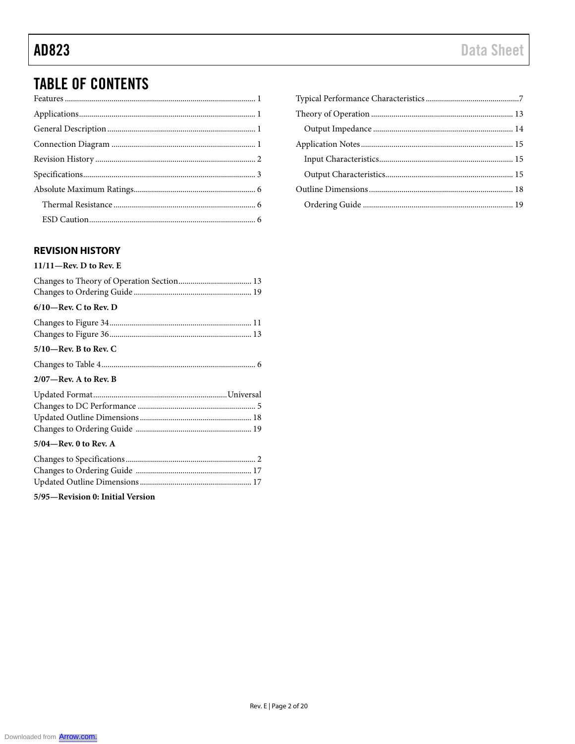## **TABLE OF CONTENTS**

### **REVISION HISTORY**

### $11/11$ –Rev. D to Rev. E

| $6/10$ —Rev. C to Rev. D |  |
|--------------------------|--|
|                          |  |
|                          |  |
| $5/10$ —Rev. B to Rev. C |  |
|                          |  |
| $2/07$ —Rev. A to Rev. B |  |
|                          |  |
|                          |  |
|                          |  |
|                          |  |
| $5/04$ —Rev. 0 to Rev. A |  |
|                          |  |
|                          |  |
|                          |  |

5/95-Revision 0: Initial Version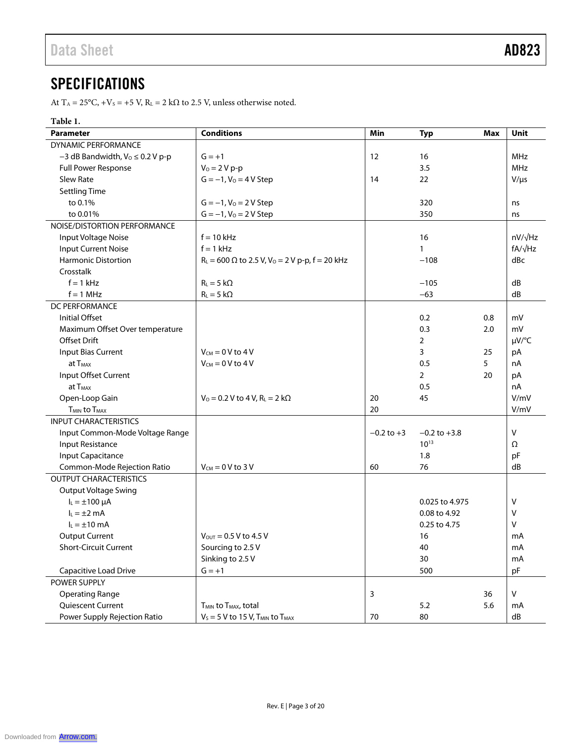## **SPECIFICATIONS**

At T<sub>A</sub> = 25°C, +V<sub>S</sub> = +5 V, R<sub>L</sub> = 2 k $\Omega$  to 2.5 V, unless otherwise noted.

### **Table 1.**

| <b>Parameter</b>                       | <b>Conditions</b>                                                 | Min            | <b>Typ</b>       | <b>Max</b> | Unit           |
|----------------------------------------|-------------------------------------------------------------------|----------------|------------------|------------|----------------|
| DYNAMIC PERFORMANCE                    |                                                                   |                |                  |            |                |
| $-3$ dB Bandwidth, $V_0 \le 0.2$ V p-p | $G = +1$                                                          | 12             | 16               |            | <b>MHz</b>     |
| <b>Full Power Response</b>             | $V_0 = 2 V p - p$                                                 |                | 3.5              |            | <b>MHz</b>     |
| <b>Slew Rate</b>                       | $G = -1$ , $V_0 = 4 V$ Step                                       | 14             | 22               |            | $V/\mu s$      |
| <b>Settling Time</b>                   |                                                                   |                |                  |            |                |
| to 0.1%                                | $G = -1$ , $V_0 = 2 V$ Step                                       |                | 320              |            | ns             |
| to 0.01%                               | $G = -1$ , $V_0 = 2 V$ Step                                       |                | 350              |            | ns             |
| NOISE/DISTORTION PERFORMANCE           |                                                                   |                |                  |            |                |
| Input Voltage Noise                    | $f = 10$ kHz                                                      |                | 16               |            | $nV/\sqrt{Hz}$ |
| <b>Input Current Noise</b>             | $f = 1$ kHz                                                       |                | $\mathbf{1}$     |            | $fA/\sqrt{Hz}$ |
| <b>Harmonic Distortion</b>             | $R_L = 600 \Omega$ to 2.5 V, V <sub>o</sub> = 2 V p-p, f = 20 kHz |                | $-108$           |            | dBc            |
| Crosstalk                              |                                                                   |                |                  |            |                |
| $f = 1$ kHz                            | $R_{L} = 5 k\Omega$                                               |                | $-105$           |            | dB             |
| $f = 1$ MHz                            | $R_L = 5 k\Omega$                                                 |                | $-63$            |            | dB             |
| DC PERFORMANCE                         |                                                                   |                |                  |            |                |
| <b>Initial Offset</b>                  |                                                                   |                | 0.2              | 0.8        | mV             |
| Maximum Offset Over temperature        |                                                                   |                | 0.3              | 2.0        | mV             |
| <b>Offset Drift</b>                    |                                                                   |                | $\overline{2}$   |            | µV/°C          |
| <b>Input Bias Current</b>              | $V_{CM} = 0 V$ to 4 V                                             |                | 3                | 25         | pA             |
| $at$ $T_{MAX}$                         | $V_{CM} = 0 V$ to 4 V                                             |                | 0.5              | 5          | nA             |
| Input Offset Current                   |                                                                   |                | 2                | 20         | pA             |
| at T <sub>MAX</sub>                    |                                                                   |                | 0.5              |            | nA             |
| Open-Loop Gain                         | $V_0 = 0.2 V$ to 4 V, R <sub>L</sub> = 2 k $\Omega$               | 20             | 45               |            | V/mV           |
| T <sub>MIN</sub> to T <sub>MAX</sub>   |                                                                   | 20             |                  |            | V/mV           |
| <b>INPUT CHARACTERISTICS</b>           |                                                                   |                |                  |            |                |
| Input Common-Mode Voltage Range        |                                                                   | $-0.2$ to $+3$ | $-0.2$ to $+3.8$ |            | V              |
| <b>Input Resistance</b>                |                                                                   |                | $10^{13}$        |            | Ω              |
| <b>Input Capacitance</b>               |                                                                   |                | 1.8              |            | pF             |
| Common-Mode Rejection Ratio            | $V_{CM} = 0 V$ to 3 V                                             | 60             | 76               |            | dB             |
| <b>OUTPUT CHARACTERISTICS</b>          |                                                                   |                |                  |            |                |
| <b>Output Voltage Swing</b>            |                                                                   |                |                  |            |                |
| $I_L = \pm 100 \mu A$                  |                                                                   |                | 0.025 to 4.975   |            | V              |
| $I_L = \pm 2$ mA                       |                                                                   |                | 0.08 to 4.92     |            | v              |
| $I_L = \pm 10$ mA                      |                                                                   |                | 0.25 to 4.75     |            | $\vee$         |
| <b>Output Current</b>                  | $V_{\text{OUT}} = 0.5 V$ to 4.5 V                                 |                | 16               |            | mA             |
| <b>Short-Circuit Current</b>           | Sourcing to 2.5 V                                                 |                | 40               |            | mA             |
|                                        | Sinking to 2.5 V                                                  |                | 30               |            | mA             |
| Capacitive Load Drive                  | $G = +1$                                                          |                | 500              |            | pF             |
| POWER SUPPLY                           |                                                                   |                |                  |            |                |
| <b>Operating Range</b>                 |                                                                   | 3              |                  | 36         | V              |
| Quiescent Current                      | T <sub>MIN</sub> to T <sub>MAX</sub> , total                      |                | 5.2              | 5.6        | mA             |
| Power Supply Rejection Ratio           | $V_S = 5$ V to 15 V, T <sub>MIN</sub> to T <sub>MAX</sub>         | 70             | 80               |            | ${\sf dB}$     |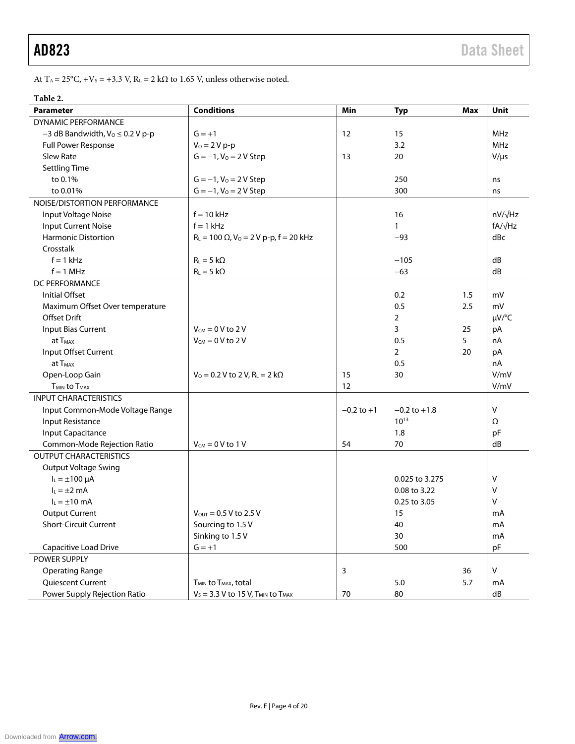At T<sub>A</sub> = 25°C, +V<sub>S</sub> = +3.3 V, R<sub>L</sub> = 2 kΩ to 1.65 V, unless otherwise noted.

### **Table 2.**

| <b>Parameter</b>                        | <b>Conditions</b>                                           | Min            | <b>Typ</b>            | <b>Max</b> | Unit           |
|-----------------------------------------|-------------------------------------------------------------|----------------|-----------------------|------------|----------------|
| <b>DYNAMIC PERFORMANCE</b>              |                                                             |                |                       |            |                |
| $-3$ dB Bandwidth, $V_0 \leq 0.2$ V p-p | $G = +1$                                                    | 12             | 15                    |            | <b>MHz</b>     |
| Full Power Response                     | $V_0 = 2 V p - p$                                           |                | 3.2                   |            | <b>MHz</b>     |
| Slew Rate                               | $G = -1$ , $V_0 = 2 V$ Step                                 | 13             | 20                    |            | $V/\mu s$      |
| <b>Settling Time</b>                    |                                                             |                |                       |            |                |
| to 0.1%                                 | $G = -1$ , $V_0 = 2 V$ Step                                 |                | 250                   |            | ns             |
| to 0.01%                                | $G = -1, V_0 = 2 V$ Step                                    |                | 300                   |            | ns             |
| NOISE/DISTORTION PERFORMANCE            |                                                             |                |                       |            |                |
| Input Voltage Noise                     | $f = 10$ kHz                                                |                | 16                    |            | nV/√Hz         |
| <b>Input Current Noise</b>              | $f = 1$ kHz                                                 |                | 1                     |            | $fA/\sqrt{Hz}$ |
| <b>Harmonic Distortion</b>              | $R_L = 100 \Omega$ , $V_0 = 2 V p-p$ , $f = 20 kHz$         |                | $-93$                 |            | dBc            |
| Crosstalk                               |                                                             |                |                       |            |                |
| $f = 1$ kHz                             | $R_L = 5 k\Omega$                                           |                | $-105$                |            | dB             |
| $f = 1$ MHz                             | $R_L = 5 k\Omega$                                           |                | $-63$                 |            | dB             |
| DC PERFORMANCE                          |                                                             |                |                       |            |                |
| Initial Offset                          |                                                             |                | 0.2                   | 1.5        | mV             |
| Maximum Offset Over temperature         |                                                             |                | 0.5                   | 2.5        | mV             |
| <b>Offset Drift</b>                     |                                                             |                | $\overline{2}$        |            | µV/°C          |
| Input Bias Current                      | $V_{CM} = 0$ V to 2 V                                       |                | 3                     | 25         | pA             |
| at T <sub>MAX</sub>                     | $V_{CM} = 0 V$ to 2 V                                       |                | 0.5                   | 5          | nA             |
| Input Offset Current                    |                                                             |                | $\mathbf{2}^{\prime}$ | 20         | pA             |
| at T <sub>MAX</sub>                     |                                                             |                | 0.5                   |            | nA             |
| Open-Loop Gain                          | $V_0 = 0.2 V$ to 2 V, R <sub>L</sub> = 2 k $\Omega$         | 15             | 30                    |            | V/mV           |
| T <sub>MIN</sub> to T <sub>MAX</sub>    |                                                             | 12             |                       |            | V/mV           |
| <b>INPUT CHARACTERISTICS</b>            |                                                             |                |                       |            |                |
| Input Common-Mode Voltage Range         |                                                             | $-0.2$ to $+1$ | $-0.2$ to $+1.8$      |            | $\vee$         |
| <b>Input Resistance</b>                 |                                                             |                | $10^{13}$             |            | Ω              |
| Input Capacitance                       |                                                             |                | 1.8                   |            | pF             |
| Common-Mode Rejection Ratio             | $V_{CM} = 0 V$ to 1 V                                       | 54             | 70                    |            | dB             |
| <b>OUTPUT CHARACTERISTICS</b>           |                                                             |                |                       |            |                |
| <b>Output Voltage Swing</b>             |                                                             |                |                       |            |                |
| $I_L = \pm 100 \mu A$                   |                                                             |                | 0.025 to 3.275        |            | v              |
| $I_L = \pm 2$ mA                        |                                                             |                | 0.08 to 3.22          |            | v              |
| $I_L = \pm 10$ mA                       |                                                             |                | 0.25 to 3.05          |            | v              |
| <b>Output Current</b>                   | $V_{\text{OUT}} = 0.5 V$ to 2.5 V                           |                | 15                    |            | mA             |
| <b>Short-Circuit Current</b>            | Sourcing to 1.5 V                                           |                | 40                    |            | mA             |
|                                         | Sinking to 1.5 V                                            |                | 30                    |            | mA             |
| Capacitive Load Drive                   | $G = +1$                                                    |                | 500                   |            | pF             |
| POWER SUPPLY                            |                                                             |                |                       |            |                |
| <b>Operating Range</b>                  |                                                             | 3              |                       | 36         | $\mathsf{V}$   |
| Quiescent Current                       | T <sub>MIN</sub> to T <sub>MAX</sub> , total                |                | 5.0                   | 5.7        | mA             |
| Power Supply Rejection Ratio            | $V_S = 3.3$ V to 15 V, T <sub>MIN</sub> to T <sub>MAX</sub> | 70             | 80                    |            | ${\sf dB}$     |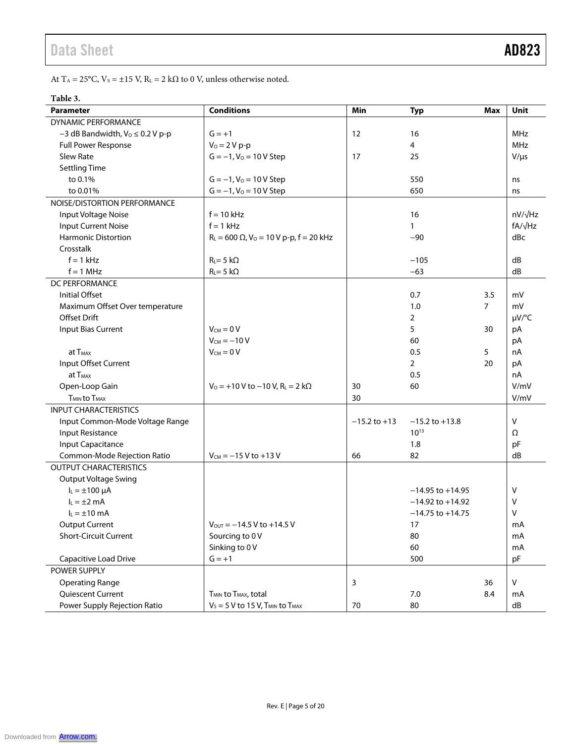At T^A = 25°C, V^s = ±15 V, R^L = 2 kΩ to 0 V, unless otherwise noted.

### **Table 3.**

| <b>Parameter</b>                           | <b>Conditions</b>                                         | Min              | <b>Typ</b>           | <b>Max</b> | Unit           |
|--------------------------------------------|-----------------------------------------------------------|------------------|----------------------|------------|----------------|
| DYNAMIC PERFORMANCE                        |                                                           |                  |                      |            |                |
| $-3$ dB Bandwidth, $Vo \le 0.2$ V p-p      | $G = +1$                                                  | 12               | 16                   |            | <b>MHz</b>     |
| Full Power Response                        | $V_0 = 2 V p - p$                                         |                  | 4                    |            | <b>MHz</b>     |
| Slew Rate                                  | $G = -1$ , $V_0 = 10 V$ Step                              | 17               | 25                   |            | $V/\mu s$      |
| <b>Settling Time</b>                       |                                                           |                  |                      |            |                |
| to 0.1%                                    | $G = -1$ , $V_0 = 10 V$ Step                              |                  | 550                  |            | ns             |
| to 0.01%                                   | $G = -1$ , $V_0 = 10 V$ Step                              |                  | 650                  |            | ns             |
| NOISE/DISTORTION PERFORMANCE               |                                                           |                  |                      |            |                |
| Input Voltage Noise                        | $f = 10$ kHz                                              |                  | 16                   |            | $nV/\sqrt{Hz}$ |
| <b>Input Current Noise</b>                 | $f = 1$ kHz                                               |                  | $\mathbf{1}$         |            | $fA/\sqrt{Hz}$ |
| <b>Harmonic Distortion</b>                 | $R_L = 600 \Omega$ , $V_0 = 10 V p-p$ , $f = 20 kHz$      |                  | $-90$                |            | dBc            |
| Crosstalk                                  |                                                           |                  |                      |            |                |
| $f = 1$ kHz                                | $R_L = 5 k\Omega$                                         |                  | $-105$               |            | dB             |
| $f = 1$ MHz                                | $R_L = 5 k\Omega$                                         |                  | $-63$                |            | dB             |
| DC PERFORMANCE                             |                                                           |                  |                      |            |                |
| <b>Initial Offset</b>                      |                                                           |                  | 0.7                  | 3.5        | mV             |
| Maximum Offset Over temperature            |                                                           |                  | 1.0                  | 7          | mV             |
| <b>Offset Drift</b>                        |                                                           |                  | 2                    |            | µV/°C          |
| <b>Input Bias Current</b>                  | $V_{CM} = 0 V$                                            |                  | 5                    | 30         | pA             |
|                                            | $V_{CM} = -10 V$                                          |                  | 60                   |            | pA             |
| at T <sub>MAX</sub>                        | $V_{CM} = 0 V$                                            |                  | 0.5                  | 5          | nA             |
| Input Offset Current                       |                                                           |                  | $\overline{2}$       | 20         | pA             |
| at T <sub>MAX</sub>                        |                                                           |                  | 0.5                  |            | nA             |
| Open-Loop Gain                             | $V_0 = +10 V$ to $-10 V$ , $R_L = 2 k\Omega$              | 30               | 60                   |            | V/mV           |
| <b>T<sub>MIN</sub></b> to T <sub>MAX</sub> |                                                           | 30               |                      |            | V/mV           |
| <b>INPUT CHARACTERISTICS</b>               |                                                           |                  |                      |            |                |
| Input Common-Mode Voltage Range            |                                                           | $-15.2$ to $+13$ | $-15.2$ to $+13.8$   |            | $\vee$         |
| Input Resistance                           |                                                           |                  | $10^{13}$            |            | Ω              |
| Input Capacitance                          |                                                           |                  | 1.8                  |            | pF             |
| Common-Mode Rejection Ratio                | $V_{CM} = -15 V$ to +13 V                                 | 66               | 82                   |            | dB             |
| <b>OUTPUT CHARACTERISTICS</b>              |                                                           |                  |                      |            |                |
| <b>Output Voltage Swing</b>                |                                                           |                  |                      |            |                |
| $I_L = \pm 100 \mu A$                      |                                                           |                  | $-14.95$ to $+14.95$ |            | $\vee$         |
| $I_L = \pm 2$ mA                           |                                                           |                  | $-14.92$ to $+14.92$ |            | $\vee$         |
| $I_L = \pm 10$ mA                          |                                                           |                  | $-14.75$ to $+14.75$ |            | v              |
| <b>Output Current</b>                      | $V_{\text{OUT}} = -14.5 V$ to +14.5 V                     |                  | 17                   |            | mA             |
| <b>Short-Circuit Current</b>               | Sourcing to 0 V                                           |                  | 80                   |            | mA             |
|                                            | Sinking to 0 V                                            |                  | 60                   |            | mA             |
| Capacitive Load Drive                      | $G = +1$                                                  |                  | 500                  |            | pF             |
| POWER SUPPLY                               |                                                           |                  |                      |            |                |
| <b>Operating Range</b>                     |                                                           | 3                |                      | 36         | $\mathsf{V}$   |
| Quiescent Current                          | T <sub>MIN</sub> to T <sub>MAX</sub> , total              |                  | 7.0                  | 8.4        | mA             |
| Power Supply Rejection Ratio               | $V_S = 5$ V to 15 V, T <sub>MIN</sub> to T <sub>MAX</sub> | $70\,$           | 80                   |            | dB             |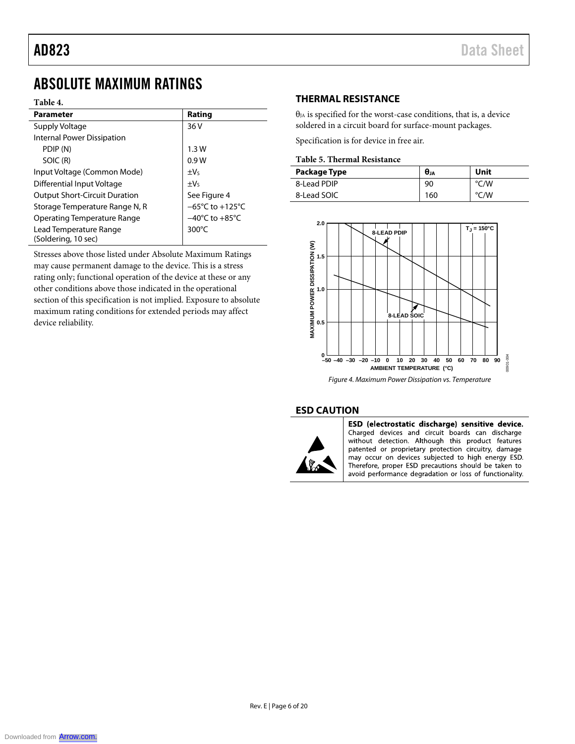### ABSOLUTE MAXIMUM RATINGS

#### **Table 4.**

| <b>Parameter</b>                              | Rating                              |
|-----------------------------------------------|-------------------------------------|
| Supply Voltage                                | 36 V                                |
| Internal Power Dissipation                    |                                     |
| PDIP (N)                                      | 1.3W                                |
| SOIC (R)                                      | 0.9W                                |
| Input Voltage (Common Mode)                   | $\pm V_5$                           |
| Differential Input Voltage                    | $\pm V_5$                           |
| <b>Output Short-Circuit Duration</b>          | See Figure 4                        |
| Storage Temperature Range N, R                | $-65^{\circ}$ C to $+125^{\circ}$ C |
| Operating Temperature Range                   | $-40^{\circ}$ C to $+85^{\circ}$ C  |
| Lead Temperature Range<br>(Soldering, 10 sec) | 300 $\degree$ C                     |

Stresses above those listed under Absolute Maximum Ratings may cause permanent damage to the device. This is a stress rating only; functional operation of the device at these or any other conditions above those indicated in the operational section of this specification is not implied. Exposure to absolute maximum rating conditions for extended periods may affect device reliability.

### **THERMAL RESISTANCE**

 $\theta_{JA}$  is specified for the worst-case conditions, that is, a device soldered in a circuit board for surface-mount packages.

Specification is for device in free air.

### **Table 5. Thermal Resistance**

| Package Type | $\theta_{JA}$ | Unit |
|--------------|---------------|------|
| 8-Lead PDIP  | 90            | °C/W |
| 8-Lead SOIC  | 160           | °C/W |



*Figure 4. Maximum Power Dissipation vs. Temperature*

#### **ESD CAUTION**



ESD (electrostatic discharge) sensitive device. Charged devices and circuit boards can discharge without detection. Although this product features patented or proprietary protection circuitry, damage may occur on devices subjected to high energy ESD. Therefore, proper ESD precautions should be taken to avoid performance degradation or loss of functionality.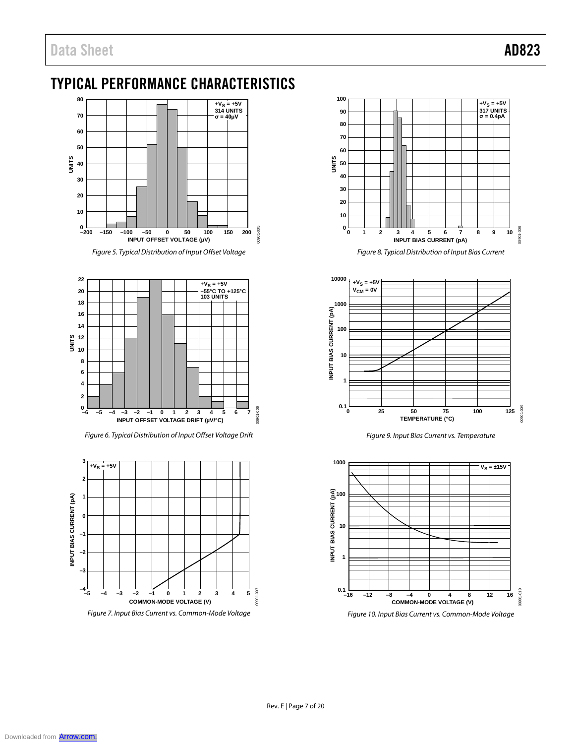## TYPICAL PERFORMANCE CHARACTERISTICS



*Figure 5. Typical Distribution of Input Offset Voltage* 



*Figure 6. Typical Distribution of Input Offset Voltage Drift*





*Figure 8. Typical Distribution of Input Bias Current*

![](_page_6_Figure_10.jpeg)

*Figure 9. Input Bias Current vs. Temperature*

![](_page_6_Figure_12.jpeg)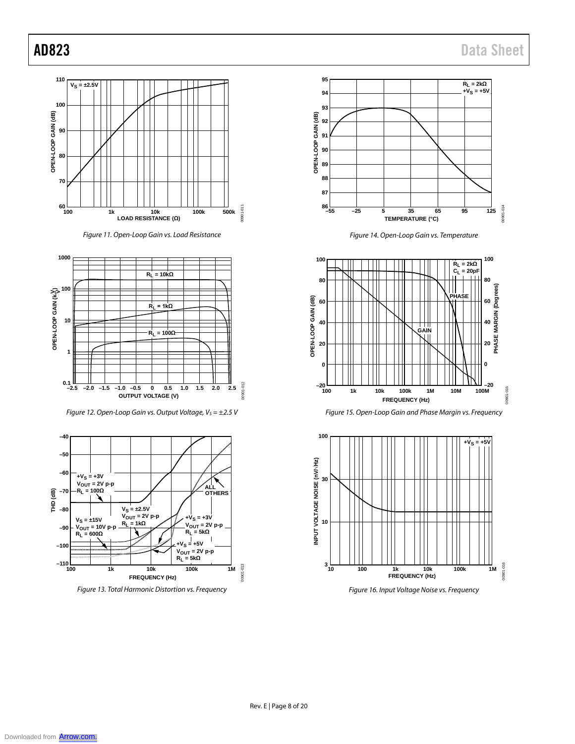![](_page_7_Figure_2.jpeg)

*Figure 11. Open-Loop Gain vs. Load Resistance* 

![](_page_7_Figure_4.jpeg)

*Figure 12. Open-Loop Gain vs. Output Voltage, Vs* = ±2.5 V

![](_page_7_Figure_6.jpeg)

*Figure 13. Total Harmonic Distortion vs. Frequency*

![](_page_7_Figure_8.jpeg)

*Figure 14. Open-Loop Gain vs. Temperature*

![](_page_7_Figure_10.jpeg)

![](_page_7_Figure_11.jpeg)

![](_page_7_Figure_12.jpeg)

*Figure 16. Input Voltage Noise vs. Frequency*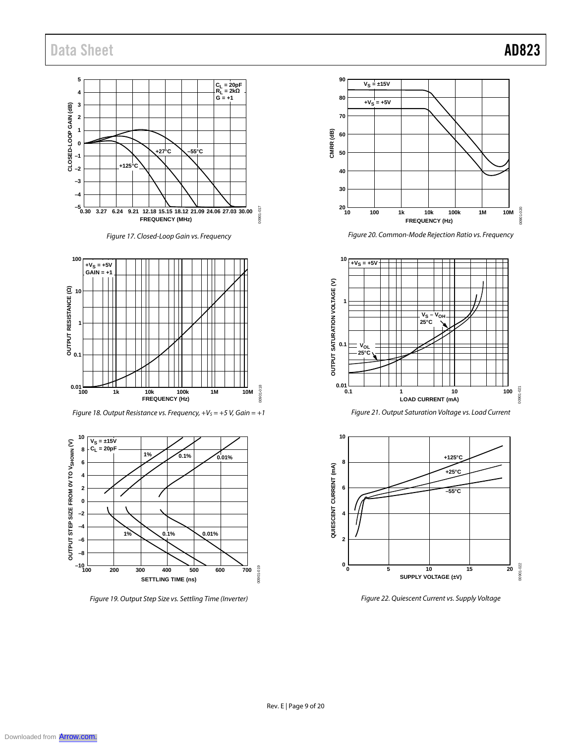### Data Sheet **AD823**

#### **5 CL = 20pF RL = 2kΩ G = +1 4 CLOSED-LOOP GAIN (dB) 3 2 1 0 +27°C –55°C –1 +125°C –2 –3 –4 –5 0.30 3.27 6.24 9.21 12.18 15.15 18.12 21.09 24.06 27.03 30.00** 00901-017 00901-017 **FREQUENCY (MHz)**

![](_page_8_Figure_2.jpeg)

![](_page_8_Figure_3.jpeg)

*Figure 18. Output Resistance vs. Frequency, +V<sub>S</sub> = +5 V, Gain = +1* 

![](_page_8_Figure_5.jpeg)

*Figure 19. Output Step Size vs. Settling Time (Inverter)*

![](_page_8_Figure_7.jpeg)

*Figure 20. Common-Mode Rejection Ratio vs. Frequency*

![](_page_8_Figure_9.jpeg)

*Figure 21. Output Saturation Voltage vs. Load Current* 

![](_page_8_Figure_11.jpeg)

*Figure 22. Quiescent Current vs. Supply Voltage*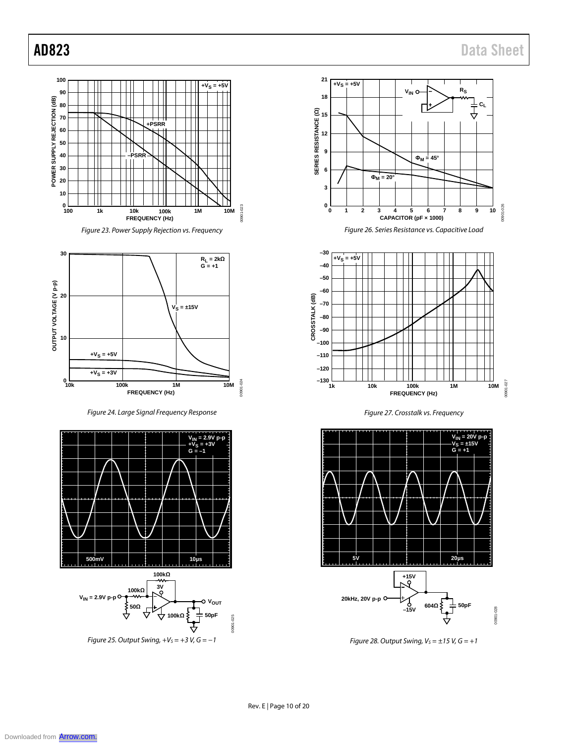![](_page_9_Figure_2.jpeg)

![](_page_9_Figure_3.jpeg)

*Figure 24. Large Signal Frequency Response*

![](_page_9_Figure_5.jpeg)

*Figure 25. Output Swing, +V<sub>S</sub> = +3 V, G = −1* 

![](_page_9_Figure_7.jpeg)

![](_page_9_Figure_8.jpeg)

![](_page_9_Figure_9.jpeg)

*Figure 27. Crosstalk vs. Frequency*

![](_page_9_Figure_11.jpeg)

*Figure 28. Output Swing,*  $V_s = \pm 15$  *V,*  $G = +1$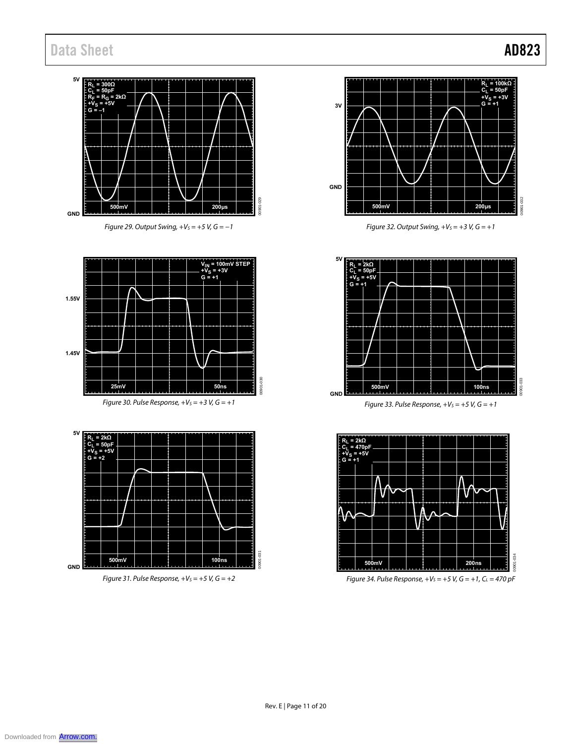### **5V RL = 300Ω CL = 50pF RF = RG = 2kΩ +VS = +5V G = –1**  $029$ 00901-029 **500mV 200µs** 00901 **GND**

Figure 29. Output Swing,  $+V_S = +5$  V,  $G = -1$ 

![](_page_10_Figure_3.jpeg)

![](_page_10_Figure_4.jpeg)

Figure 31. Pulse Response,  $+V_s = +5$  V,  $G = +2$ 

![](_page_10_Figure_6.jpeg)

Figure 32. Output Swing,  $+V_S = +3 V$ ,  $G = +1$ 

![](_page_10_Figure_8.jpeg)

Figure 33. Pulse Response,  $+V_S = +5$  V,  $G = +1$ 

![](_page_10_Figure_10.jpeg)

Figure 34. Pulse Response,  $+V_S = +5$  V,  $G = +1$ ,  $C_L = 470$  pF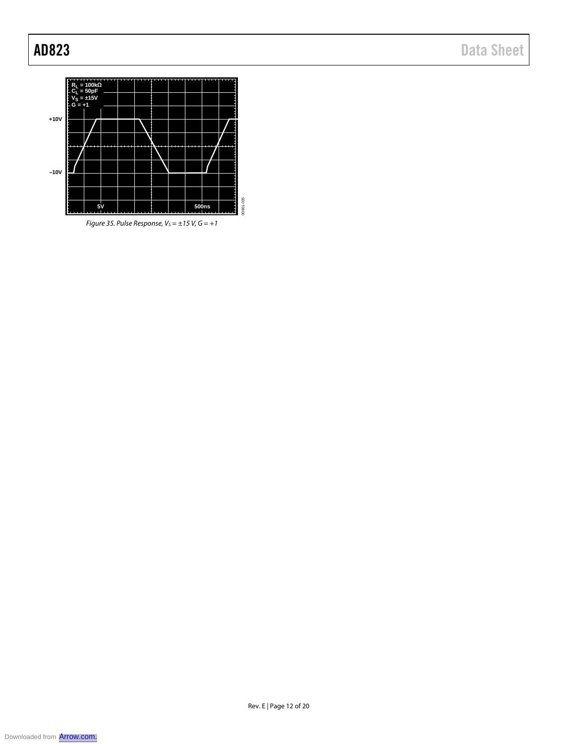![](_page_11_Figure_2.jpeg)

*Figure 35. Pulse Response,*  $V_s = \pm 15$  *V,*  $G = +1$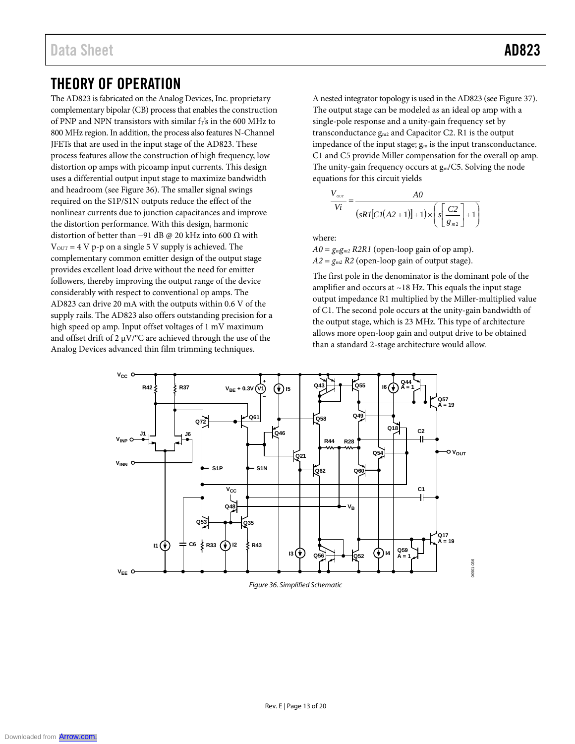### THEORY OF OPERATION

The AD823 is fabricated on the Analog Devices, Inc. proprietary complementary bipolar (CB) process that enables the construction of PNP and NPN transistors with similar  $f_T$ 's in the 600 MHz to 800 MHz region. In addition, the process also features N-Channel JFETs that are used in the input stage of the AD823. These process features allow the construction of high frequency, low distortion op amps with picoamp input currents. This design uses a differential output input stage to maximize bandwidth and headroom (see Figure 36). The smaller signal swings required on the S1P/S1N outputs reduce the effect of the nonlinear currents due to junction capacitances and improve the distortion performance. With this design, harmonic distortion of better than −91 dB @ 20 kHz into 600 Ω with  $V_{\text{OUT}} = 4 V p-p$  on a single 5 V supply is achieved. The complementary common emitter design of the output stage provides excellent load drive without the need for emitter followers, thereby improving the output range of the device considerably with respect to conventional op amps. The AD823 can drive 20 mA with the outputs within 0.6 V of the supply rails. The AD823 also offers outstanding precision for a high speed op amp. Input offset voltages of 1 mV maximum and offset drift of 2  $\mu$ V/°C are achieved through the use of the Analog Devices advanced thin film trimming techniques.

A nested integrator topology is used in the AD823 (see Figure 37). The output stage can be modeled as an ideal op amp with a single-pole response and a unity-gain frequency set by transconductance gm2 and Capacitor C2. R1 is the output impedance of the input stage;  $g_m$  is the input transconductance. C1 and C5 provide Miller compensation for the overall op amp. The unity-gain frequency occurs at  $g<sub>m</sub>/C5$ . Solving the node equations for this circuit yields

$$
\frac{V_{\text{our}}}{Vi} = \frac{AO}{(sRI[CI(A2+1)]+1)\times \left(s\left[\frac{C2}{g_{m2}}\right]+1\right)}
$$

where:

 $A0 = g_{mgm2} R2R1$  (open-loop gain of op amp).  $A2 = g_{m2} R2$  (open-loop gain of output stage).

The first pole in the denominator is the dominant pole of the amplifier and occurs at  $\sim$  18 Hz. This equals the input stage output impedance R1 multiplied by the Miller-multiplied value of C1. The second pole occurs at the unity-gain bandwidth of the output stage, which is 23 MHz. This type of architecture allows more open-loop gain and output drive to be obtained than a standard 2-stage architecture would allow.

![](_page_12_Figure_9.jpeg)

*Figure 36. Simplified Schematic*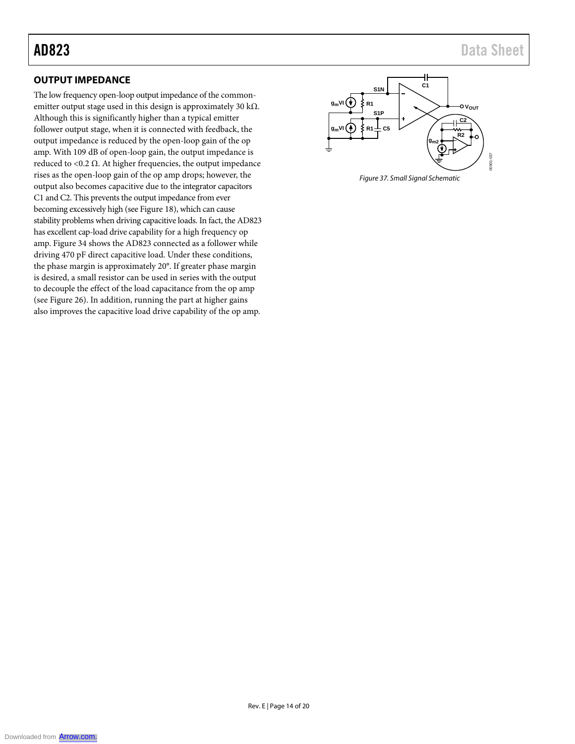### **OUTPUT IMPEDANCE**

The low frequency open-loop output impedance of the commonemitter output stage used in this design is approximately 30 k $\Omega$ . Although this is significantly higher than a typical emitter follower output stage, when it is connected with feedback, the output impedance is reduced by the open-loop gain of the op amp. With 109 dB of open-loop gain, the output impedance is reduced to <0.2  $Ω$ . At higher frequencies, the output impedance rises as the open-loop gain of the op amp drops; however, the output also becomes capacitive due to the integrator capacitors C1 and C2. This prevents the output impedance from ever becoming excessively high (see Figure 18), which can cause stability problems when driving capacitive loads. In fact, the AD823 has excellent cap-load drive capability for a high frequency op amp. Figure 34 shows the AD823 connected as a follower while driving 470 pF direct capacitive load. Under these conditions, the phase margin is approximately 20°. If greater phase margin is desired, a small resistor can be used in series with the output to decouple the effect of the load capacitance from the op amp (see Figure 26). In addition, running the part at higher gains also improves the capacitive load drive capability of the op amp.

![](_page_13_Figure_4.jpeg)

*Figure 37. Small Signal Schematic*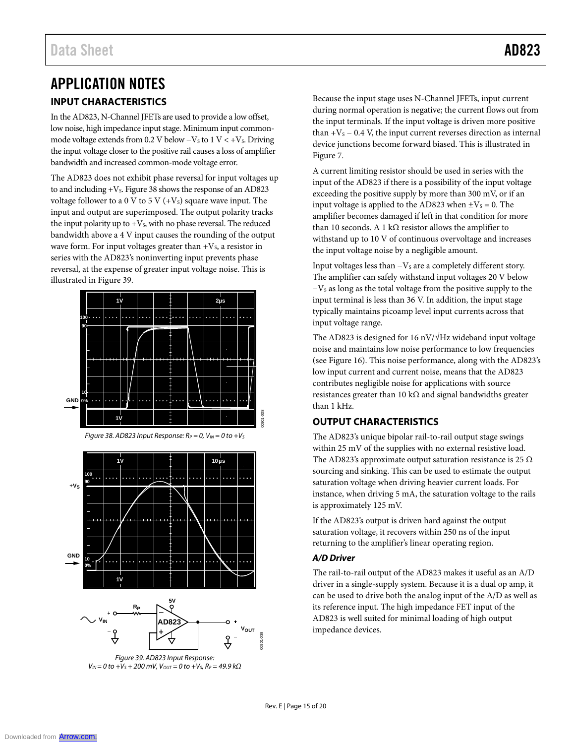## APPLICATION NOTES **INPUT CHARACTERISTICS**

In the AD823, N-Channel JFETs are used to provide a low offset, low noise, high impedance input stage. Minimum input commonmode voltage extends from 0.2 V below  $-V<sub>S</sub>$  to  $1$  V  $< +V<sub>S</sub>$ . Driving the input voltage closer to the positive rail causes a loss of amplifier bandwidth and increased common-mode voltage error.

The AD823 does not exhibit phase reversal for input voltages up to and including  $+V_s$ . Figure 38 shows the response of an AD823 voltage follower to a 0 V to 5 V  $(+V<sub>s</sub>)$  square wave input. The input and output are superimposed. The output polarity tracks the input polarity up to  $+V_s$ , with no phase reversal. The reduced bandwidth above a 4 V input causes the rounding of the output wave form. For input voltages greater than  $+V_s$ , a resistor in series with the AD823's noninverting input prevents phase reversal, at the expense of greater input voltage noise. This is illustrated in Figure 39.

![](_page_14_Figure_4.jpeg)

![](_page_14_Figure_5.jpeg)

![](_page_14_Figure_6.jpeg)

![](_page_14_Figure_7.jpeg)

*Figure 39. AD823 Input Response:*   $V_{IN}$  = 0 to + $V_S$  + 200 mV,  $V_{OUT}$  = 0 to + $V_S$ ,  $R_P$  = 49.9 kΩ

Because the input stage uses N-Channel JFETs, input current during normal operation is negative; the current flows out from the input terminals. If the input voltage is driven more positive than  $+V_s - 0.4$  V, the input current reverses direction as internal device junctions become forward biased. This is illustrated in Figure 7.

A current limiting resistor should be used in series with the input of the AD823 if there is a possibility of the input voltage exceeding the positive supply by more than 300 mV, or if an input voltage is applied to the AD823 when  $\pm V_s = 0$ . The amplifier becomes damaged if left in that condition for more than 10 seconds. A 1 kΩ resistor allows the amplifier to withstand up to 10 V of continuous overvoltage and increases the input voltage noise by a negligible amount.

Input voltages less than  $-V<sub>S</sub>$  are a completely different story. The amplifier can safely withstand input voltages 20 V below −VS as long as the total voltage from the positive supply to the input terminal is less than 36 V. In addition, the input stage typically maintains picoamp level input currents across that input voltage range.

The AD823 is designed for 16 nV/√Hz wideband input voltage noise and maintains low noise performance to low frequencies (see Figure 16). This noise performance, along with the AD823's low input current and current noise, means that the AD823 contributes negligible noise for applications with source resistances greater than 10 k $\Omega$  and signal bandwidths greater than 1 kHz.

### **OUTPUT CHARACTERISTICS**

The AD823's unique bipolar rail-to-rail output stage swings within 25 mV of the supplies with no external resistive load. The AD823's approximate output saturation resistance is 25  $\Omega$ sourcing and sinking. This can be used to estimate the output saturation voltage when driving heavier current loads. For instance, when driving 5 mA, the saturation voltage to the rails is approximately 125 mV.

If the AD823's output is driven hard against the output saturation voltage, it recovers within 250 ns of the input returning to the amplifier's linear operating region.

### *A/D Driver*

The rail-to-rail output of the AD823 makes it useful as an A/D driver in a single-supply system. Because it is a dual op amp, it can be used to drive both the analog input of the A/D as well as its reference input. The high impedance FET input of the AD823 is well suited for minimal loading of high output impedance devices.

00901-039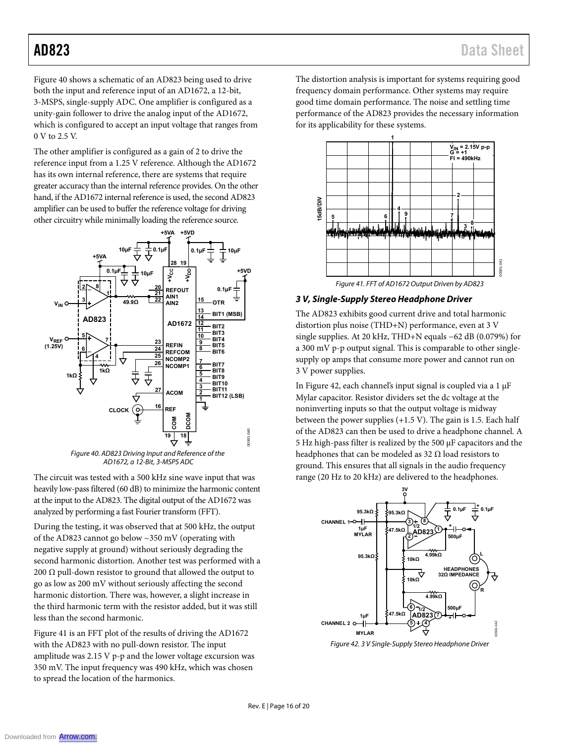Figure 40 shows a schematic of an AD823 being used to drive both the input and reference input of an AD1672, a 12-bit, 3-MSPS, single-supply ADC. One amplifier is configured as a unity-gain follower to drive the analog input of the AD1672, which is configured to accept an input voltage that ranges from 0 V to 2.5 V.

The other amplifier is configured as a gain of 2 to drive the reference input from a 1.25 V reference. Although the AD1672 has its own internal reference, there are systems that require greater accuracy than the internal reference provides. On the other hand, if the AD1672 internal reference is used, the second AD823 amplifier can be used to buffer the reference voltage for driving other circuitry while minimally loading the reference source.

![](_page_15_Figure_4.jpeg)

Figure 40. AD823 Driving Input and Reference of the AD1672, a 12-Bit, 3-MSPS ADC

The circuit was tested with a 500 kHz sine wave input that was heavily low-pass filtered (60 dB) to minimize the harmonic content at the input to the AD823. The digital output of the AD1672 was analyzed by performing a fast Fourier transform (FFT).

During the testing, it was observed that at 500 kHz, the output of the AD823 cannot go below ~350 mV (operating with negative supply at ground) without seriously degrading the second harmonic distortion. Another test was performed with a 200  $\Omega$  pull-down resistor to ground that allowed the output to go as low as 200 mV without seriously affecting the second harmonic distortion. There was, however, a slight increase in the third harmonic term with the resistor added, but it was still less than the second harmonic.

Figure 41 is an FFT plot of the results of driving the AD1672 with the AD823 with no pull-down resistor. The input amplitude was 2.15 V p-p and the lower voltage excursion was 350 mV. The input frequency was 490 kHz, which was chosen to spread the location of the harmonics.

The distortion analysis is important for systems requiring good frequency domain performance. Other systems may require good time domain performance. The noise and settling time performance of the AD823 provides the necessary information for its applicability for these systems.

![](_page_15_Figure_10.jpeg)

**3 V, Single-Supply Stereo Headphone Driver** 

The AD823 exhibits good current drive and total harmonic distortion plus noise (THD+N) performance, even at 3 V single supplies. At 20 kHz, THD+N equals −62 dB (0.079%) for a 300 mV p-p output signal. This is comparable to other singlesupply op amps that consume more power and cannot run on 3 V power supplies.

In Figure 42, each channel's input signal is coupled via a 1 μF Mylar capacitor. Resistor dividers set the dc voltage at the noninverting inputs so that the output voltage is midway between the power supplies (+1.5 V). The gain is 1.5. Each half of the AD823 can then be used to drive a headphone channel. A 5 Hz high-pass filter is realized by the 500 μF capacitors and the headphones that can be modeled as 32  $\Omega$  load resistors to ground. This ensures that all signals in the audio frequency range (20 Hz to 20 kHz) are delivered to the headphones.

![](_page_15_Figure_14.jpeg)

Figure 42. 3 V Single-Supply Stereo Headphone Driver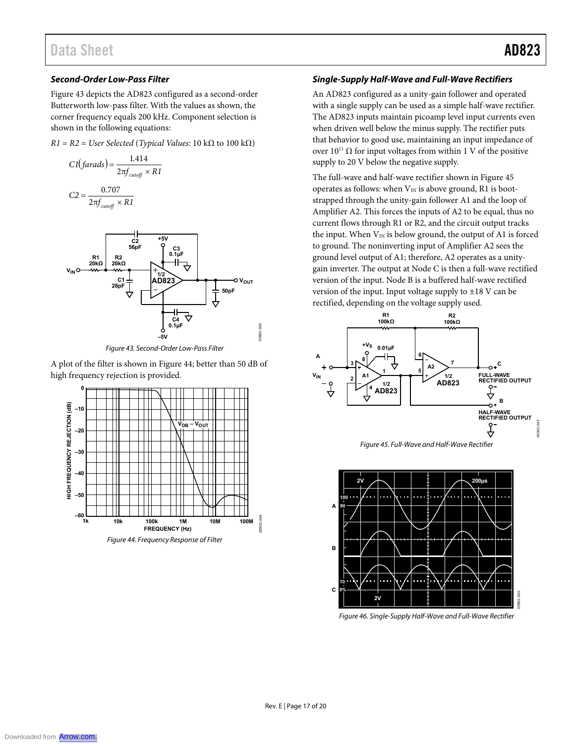### **Second-Order Low-Pass Filter**

Figure 43 depicts the AD823 configured as a second-order Butterworth low-pass filter. With the values as shown, the corner frequency equals 200 kHz. Component selection is shown in the following equations:

 $R1 = R2 = User Selected (Typical Values: 10 kΩ to 100 kΩ)$ 

$$
CI(farads) = \frac{1.414}{2\pi f_{cutoff} \times RI}
$$

$$
C2 = \frac{0.707}{2\pi f_{cutoff} \times R1}
$$

![](_page_16_Figure_7.jpeg)

Figure 43. Second-Order Low-Pass Filter

A plot of the filter is shown in Figure 44; better than 50 dB of high frequency rejection is provided.

![](_page_16_Figure_10.jpeg)

### **Single-Supply Half-Wave and Full-Wave Rectifiers**

An AD823 configured as a unity-gain follower and operated with a single supply can be used as a simple half-wave rectifier. The AD823 inputs maintain picoamp level input currents even when driven well below the minus supply. The rectifier puts that behavior to good use, maintaining an input impedance of over  $10^{11}$  Ω for input voltages from within 1 V of the positive supply to 20 V below the negative supply.

The full-wave and half-wave rectifier shown in Figure 45 operates as follows: when  $V_{IN}$  is above ground, R1 is bootstrapped through the unity-gain follower A1 and the loop of Amplifier A2. This forces the inputs of A2 to be equal, thus no current flows through R1 or R2, and the circuit output tracks the input. When  $V_{IN}$  is below ground, the output of A1 is forced to ground. The noninverting input of Amplifier A2 sees the ground level output of A1; therefore, A2 operates as a unitygain inverter. The output at Node C is then a full-wave rectified version of the input. Node B is a buffered half-wave rectified version of the input. Input voltage supply to ±18 V can be rectified, depending on the voltage supply used.

![](_page_16_Figure_14.jpeg)

![](_page_16_Figure_15.jpeg)

![](_page_16_Figure_16.jpeg)

Figure 46. Single-Supply Half-Wave and Full-Wave Rectifier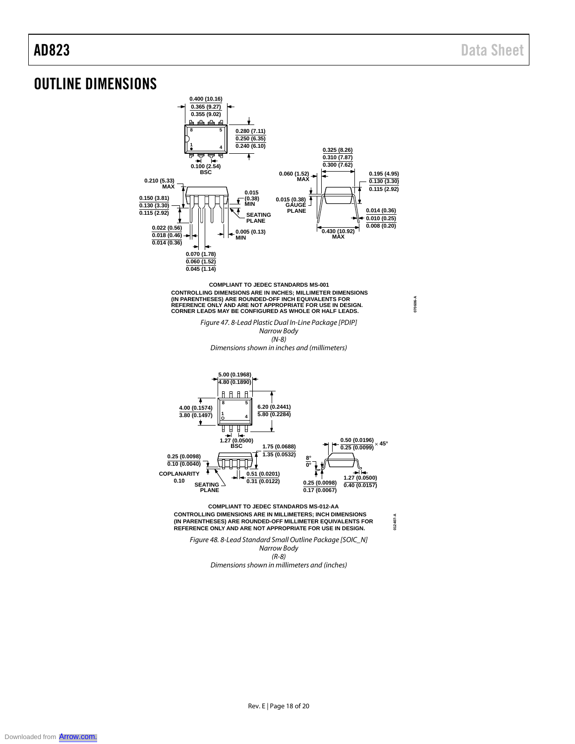**070606-A**

**012407-A**

### OUTLINE DIMENSIONS

![](_page_17_Figure_3.jpeg)

**COMPLIANT TO JEDEC STANDARDS MS-001** CONTROLLING DIMENSIONS ARE IN INCHES; MILLIMETER DIMENSIONS<br>(IN PARENTHESES) ARE ROUNDED-OFF INCH EQUIVALENTS FOR<br>REFERENCE ONLY AND ARE NOT APPROPRIATE FOR USE IN DESIGN. **CORNER LEADS MAY BE CONFIGURED AS WHOLE OR HALF LEADS.**

> *Figure 47. 8-Lead Plastic Dual In-Line Package [PDIP] Narrow Body (N-8)*

*Dimensions shown in inches and (millimeters)*

![](_page_17_Figure_7.jpeg)

**CONTROLLING DIMENSIONS ARE IN MILLIMETERS; INCH DIMENSIONS (IN PARENTHESES) ARE ROUNDED-OFF MILLIMETER EQUIVALENTS FOR REFERENCE ONLY AND ARE NOT APPROPRIATE FOR USE IN DESIGN. COMPLIANT TO JEDEC STANDARDS MS-012-AA**

*Figure 48. 8-Lead Standard Small Outline Package [SOIC\_N] Narrow Body (R-8)* 

*Dimensions shown in millimeters and (inches)*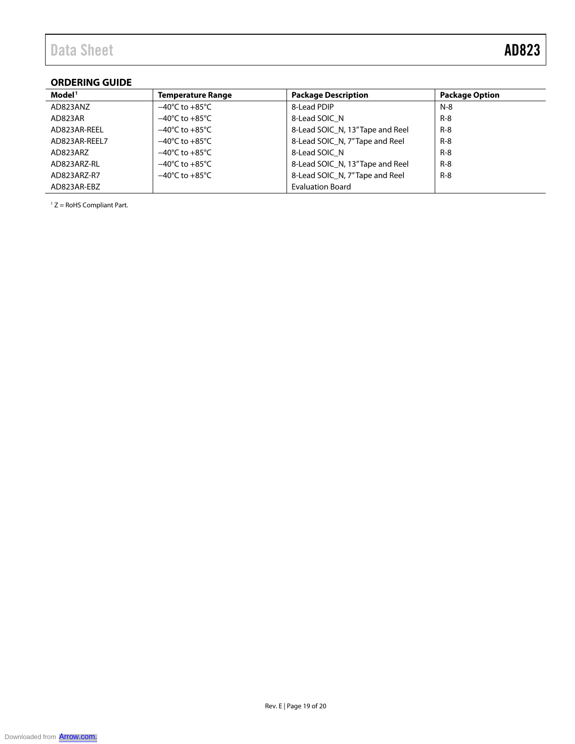### **ORDERING GUIDE**

| Model <sup>1</sup> | <b>Temperature Range</b>           | <b>Package Description</b>       | <b>Package Option</b> |
|--------------------|------------------------------------|----------------------------------|-----------------------|
| AD823ANZ           | $-40^{\circ}$ C to $+85^{\circ}$ C | 8-Lead PDIP                      | N-8                   |
| AD823AR            | $-40^{\circ}$ C to $+85^{\circ}$ C | 8-Lead SOIC N                    | $R-8$                 |
| AD823AR-REEL       | $-40^{\circ}$ C to $+85^{\circ}$ C | 8-Lead SOIC N, 13" Tape and Reel | $R-8$                 |
| AD823AR-REEL7      | $-40^{\circ}$ C to $+85^{\circ}$ C | 8-Lead SOIC N, 7"Tape and Reel   | $R-8$                 |
| AD823ARZ           | $-40^{\circ}$ C to $+85^{\circ}$ C | 8-Lead SOIC N                    | $R-8$                 |
| AD823ARZ-RL        | $-40^{\circ}$ C to $+85^{\circ}$ C | 8-Lead SOIC N, 13" Tape and Reel | $R-8$                 |
| AD823ARZ-R7        | $-40^{\circ}$ C to $+85^{\circ}$ C | 8-Lead SOIC N, 7"Tape and Reel   | $R-8$                 |
| AD823AR-EBZ        |                                    | <b>Evaluation Board</b>          |                       |

<sup>1</sup> Z = RoHS Compliant Part.

![](_page_18_Picture_5.jpeg)